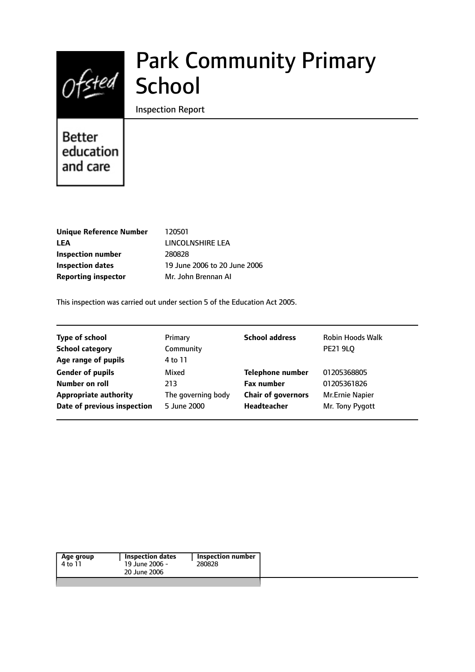# Park Community Primary **School**

Inspection Report

# Better education and care

 $0$ fsted

| <b>Unique Reference Number</b> |
|--------------------------------|
| LEA                            |
| Inspection number              |
| <b>Inspection dates</b>        |
| <b>Reporting inspector</b>     |

**Unique Reference Number** 120501 **LEA** LINCOLNSHIRE LEA **Inspection number** 280828 **Inspection dates** 19 June 2006 to 20 June 2006 **Reporting inspector** Mr. John Brennan AI

This inspection was carried out under section 5 of the Education Act 2005.

| <b>Type of school</b>        | Primary            | <b>School address</b>     | <b>Robin Hoods Walk</b> |
|------------------------------|--------------------|---------------------------|-------------------------|
| <b>School category</b>       | Community          |                           | <b>PE21 9LQ</b>         |
| Age range of pupils          | 4 to 11            |                           |                         |
| <b>Gender of pupils</b>      | Mixed              | <b>Telephone number</b>   | 01205368805             |
| Number on roll               | 213                | <b>Fax number</b>         | 01205361826             |
| <b>Appropriate authority</b> | The governing body | <b>Chair of governors</b> | Mr.Ernie Napier         |
| Date of previous inspection  | 5 June 2000        | Headteacher               | Mr. Tony Pygott         |
|                              |                    |                           |                         |

| Age group<br>4 to 11 | Inspection dates<br>19 June 2006 -<br>20 June 2006 | Inspection number<br>280828 |  |
|----------------------|----------------------------------------------------|-----------------------------|--|
|                      |                                                    |                             |  |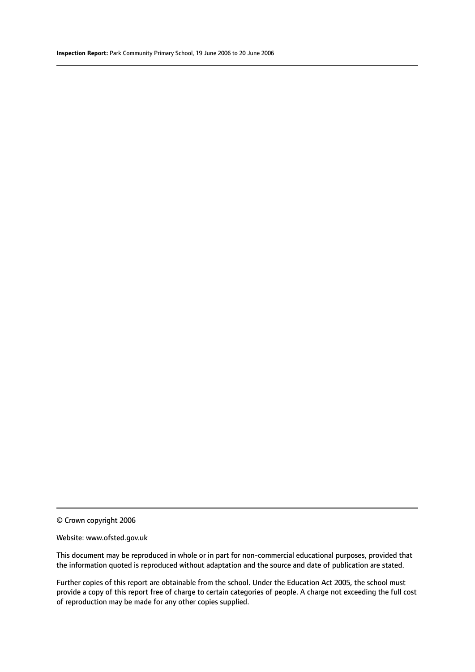© Crown copyright 2006

#### Website: www.ofsted.gov.uk

This document may be reproduced in whole or in part for non-commercial educational purposes, provided that the information quoted is reproduced without adaptation and the source and date of publication are stated.

Further copies of this report are obtainable from the school. Under the Education Act 2005, the school must provide a copy of this report free of charge to certain categories of people. A charge not exceeding the full cost of reproduction may be made for any other copies supplied.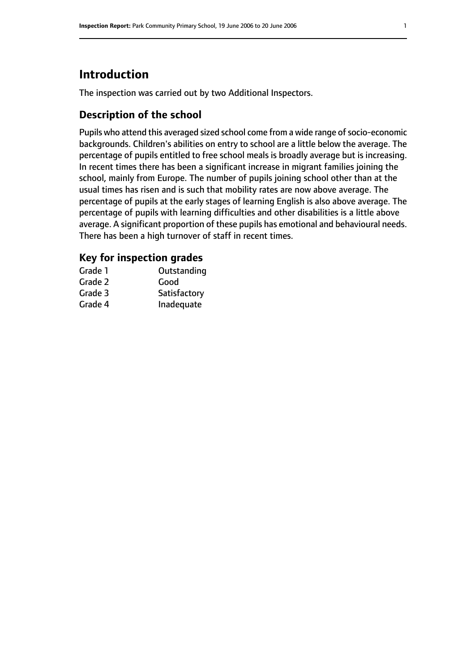# **Introduction**

The inspection was carried out by two Additional Inspectors.

# **Description of the school**

Pupils who attend this averaged sized school come from a wide range of socio-economic backgrounds. Children's abilities on entry to school are a little below the average. The percentage of pupils entitled to free school meals is broadly average but is increasing. In recent times there has been a significant increase in migrant families joining the school, mainly from Europe. The number of pupils joining school other than at the usual times has risen and is such that mobility rates are now above average. The percentage of pupils at the early stages of learning English is also above average. The percentage of pupils with learning difficulties and other disabilities is a little above average. A significant proportion of these pupils has emotional and behavioural needs. There has been a high turnover of staff in recent times.

# **Key for inspection grades**

| Grade 1 | Outstanding  |
|---------|--------------|
| Grade 2 | Good         |
| Grade 3 | Satisfactory |
| Grade 4 | Inadequate   |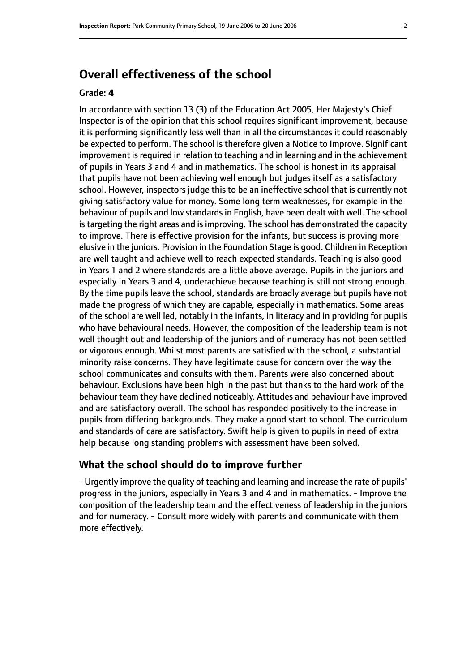# **Overall effectiveness of the school**

#### **Grade: 4**

In accordance with section 13 (3) of the Education Act 2005, Her Majesty's Chief Inspector is of the opinion that this school requires significant improvement, because it is performing significantly less well than in all the circumstances it could reasonably be expected to perform. The school is therefore given a Notice to Improve. Significant improvement is required in relation to teaching and in learning and in the achievement of pupils in Years 3 and 4 and in mathematics. The school is honest in its appraisal that pupils have not been achieving well enough but judges itself as a satisfactory school. However, inspectors judge this to be an ineffective school that is currently not giving satisfactory value for money. Some long term weaknesses, for example in the behaviour of pupils and low standards in English, have been dealt with well. The school is targeting the right areas and is improving. The school has demonstrated the capacity to improve. There is effective provision for the infants, but success is proving more elusive in the juniors. Provision in the Foundation Stage is good. Children in Reception are well taught and achieve well to reach expected standards. Teaching is also good in Years 1 and 2 where standards are a little above average. Pupils in the juniors and especially in Years 3 and 4, underachieve because teaching is still not strong enough. By the time pupils leave the school, standards are broadly average but pupils have not made the progress of which they are capable, especially in mathematics. Some areas of the school are well led, notably in the infants, in literacy and in providing for pupils who have behavioural needs. However, the composition of the leadership team is not well thought out and leadership of the juniors and of numeracy has not been settled or vigorous enough. Whilst most parents are satisfied with the school, a substantial minority raise concerns. They have legitimate cause for concern over the way the school communicates and consults with them. Parents were also concerned about behaviour. Exclusions have been high in the past but thanks to the hard work of the behaviour team they have declined noticeably. Attitudes and behaviour have improved and are satisfactory overall. The school has responded positively to the increase in pupils from differing backgrounds. They make a good start to school. The curriculum and standards of care are satisfactory. Swift help is given to pupils in need of extra help because long standing problems with assessment have been solved.

#### **What the school should do to improve further**

- Urgently improve the quality of teaching and learning and increase the rate of pupils' progress in the juniors, especially in Years 3 and 4 and in mathematics. - Improve the composition of the leadership team and the effectiveness of leadership in the juniors and for numeracy. - Consult more widely with parents and communicate with them more effectively.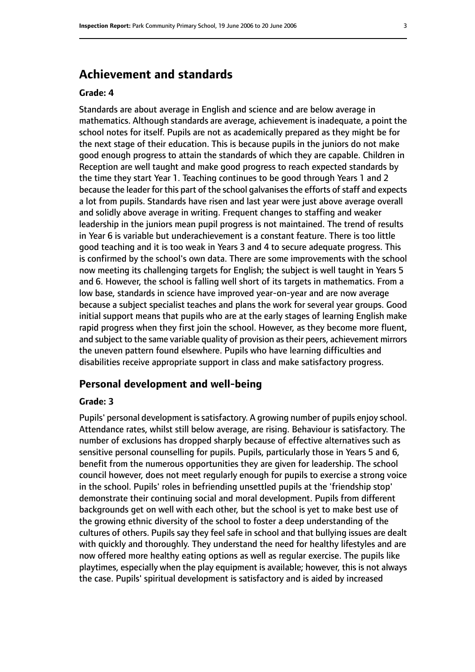# **Achievement and standards**

#### **Grade: 4**

Standards are about average in English and science and are below average in mathematics. Although standards are average, achievement is inadequate, a point the school notes for itself. Pupils are not as academically prepared as they might be for the next stage of their education. This is because pupils in the juniors do not make good enough progress to attain the standards of which they are capable. Children in Reception are well taught and make good progress to reach expected standards by the time they start Year 1. Teaching continues to be good through Years 1 and 2 because the leader for this part of the school galvanises the efforts of staff and expects a lot from pupils. Standards have risen and last year were just above average overall and solidly above average in writing. Frequent changes to staffing and weaker leadership in the juniors mean pupil progress is not maintained. The trend of results in Year 6 is variable but underachievement is a constant feature. There is too little good teaching and it is too weak in Years 3 and 4 to secure adequate progress. This is confirmed by the school's own data. There are some improvements with the school now meeting its challenging targets for English; the subject is well taught in Years 5 and 6. However, the school is falling well short of its targets in mathematics. From a low base, standards in science have improved year-on-year and are now average because a subject specialist teaches and plans the work for several year groups. Good initial support means that pupils who are at the early stages of learning English make rapid progress when they first join the school. However, as they become more fluent, and subject to the same variable quality of provision as their peers, achievement mirrors the uneven pattern found elsewhere. Pupils who have learning difficulties and disabilities receive appropriate support in class and make satisfactory progress.

#### **Personal development and well-being**

#### **Grade: 3**

Pupils' personal development is satisfactory. A growing number of pupils enjoy school. Attendance rates, whilst still below average, are rising. Behaviour is satisfactory. The number of exclusions has dropped sharply because of effective alternatives such as sensitive personal counselling for pupils. Pupils, particularly those in Years 5 and 6, benefit from the numerous opportunities they are given for leadership. The school council however, does not meet regularly enough for pupils to exercise a strong voice in the school. Pupils' roles in befriending unsettled pupils at the 'friendship stop' demonstrate their continuing social and moral development. Pupils from different backgrounds get on well with each other, but the school is yet to make best use of the growing ethnic diversity of the school to foster a deep understanding of the cultures of others. Pupils say they feel safe in school and that bullying issues are dealt with quickly and thoroughly. They understand the need for healthy lifestyles and are now offered more healthy eating options as well as regular exercise. The pupils like playtimes, especially when the play equipment is available; however, this is not always the case. Pupils' spiritual development is satisfactory and is aided by increased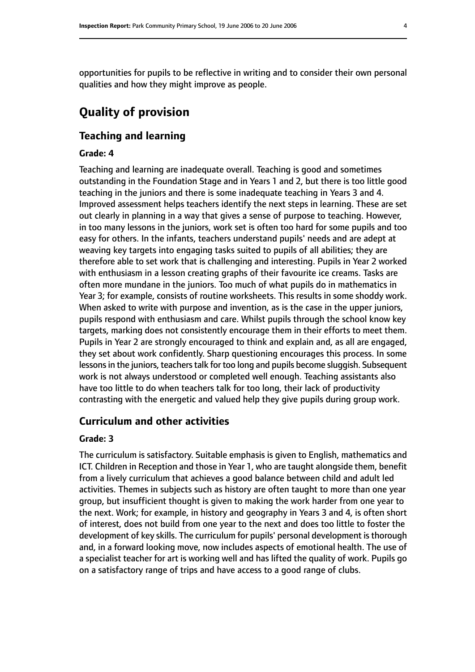opportunities for pupils to be reflective in writing and to consider their own personal qualities and how they might improve as people.

# **Quality of provision**

# **Teaching and learning**

# **Grade: 4**

Teaching and learning are inadequate overall. Teaching is good and sometimes outstanding in the Foundation Stage and in Years 1 and 2, but there is too little good teaching in the juniors and there is some inadequate teaching in Years 3 and 4. Improved assessment helps teachers identify the next steps in learning. These are set out clearly in planning in a way that gives a sense of purpose to teaching. However, in too many lessons in the juniors, work set is often too hard for some pupils and too easy for others. In the infants, teachers understand pupils' needs and are adept at weaving key targets into engaging tasks suited to pupils of all abilities; they are therefore able to set work that is challenging and interesting. Pupils in Year 2 worked with enthusiasm in a lesson creating graphs of their favourite ice creams. Tasks are often more mundane in the juniors. Too much of what pupils do in mathematics in Year 3; for example, consists of routine worksheets. This results in some shoddy work. When asked to write with purpose and invention, as is the case in the upper juniors, pupils respond with enthusiasm and care. Whilst pupils through the school know key targets, marking does not consistently encourage them in their efforts to meet them. Pupils in Year 2 are strongly encouraged to think and explain and, as all are engaged, they set about work confidently. Sharp questioning encourages this process. In some lessons in the juniors, teachers talk for too long and pupils become sluggish. Subsequent work is not always understood or completed well enough. Teaching assistants also have too little to do when teachers talk for too long, their lack of productivity contrasting with the energetic and valued help they give pupils during group work.

# **Curriculum and other activities**

#### **Grade: 3**

The curriculum is satisfactory. Suitable emphasis is given to English, mathematics and ICT. Children in Reception and those in Year 1, who are taught alongside them, benefit from a lively curriculum that achieves a good balance between child and adult led activities. Themes in subjects such as history are often taught to more than one year group, but insufficient thought is given to making the work harder from one year to the next. Work; for example, in history and geography in Years 3 and 4, is often short of interest, does not build from one year to the next and does too little to foster the development of key skills. The curriculum for pupils' personal development is thorough and, in a forward looking move, now includes aspects of emotional health. The use of a specialist teacher for art is working well and has lifted the quality of work. Pupils go on a satisfactory range of trips and have access to a good range of clubs.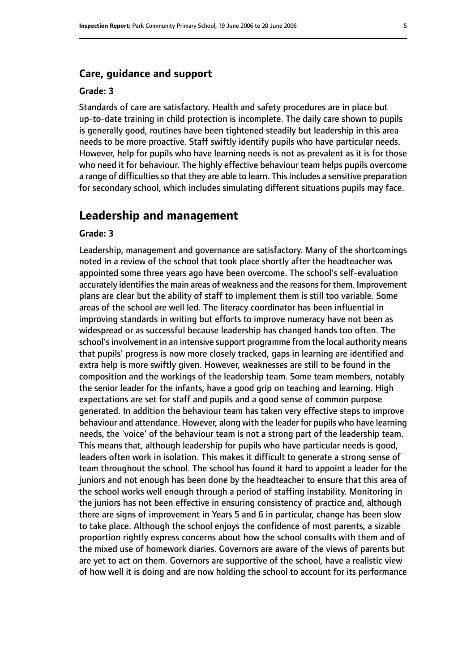### **Care, guidance and support**

#### **Grade: 3**

Standards of care are satisfactory. Health and safety procedures are in place but up-to-date training in child protection is incomplete. The daily care shown to pupils is generally good, routines have been tightened steadily but leadership in this area needs to be more proactive. Staff swiftly identify pupils who have particular needs. However, help for pupils who have learning needs is not as prevalent as it is for those who need it for behaviour. The highly effective behaviour team helps pupils overcome a range of difficulties so that they are able to learn. This includes a sensitive preparation for secondary school, which includes simulating different situations pupils may face.

### **Leadership and management**

#### **Grade: 3**

Leadership, management and governance are satisfactory. Many of the shortcomings noted in a review of the school that took place shortly after the headteacher was appointed some three years ago have been overcome. The school's self-evaluation accurately identifies the main areas of weakness and the reasons for them. Improvement plans are clear but the ability of staff to implement them is still too variable. Some areas of the school are well led. The literacy coordinator has been influential in improving standards in writing but efforts to improve numeracy have not been as widespread or as successful because leadership has changed hands too often. The school's involvement in an intensive support programme from the local authority means that pupils' progress is now more closely tracked, gaps in learning are identified and extra help is more swiftly given. However, weaknesses are still to be found in the composition and the workings of the leadership team. Some team members, notably the senior leader for the infants, have a good grip on teaching and learning. High expectations are set for staff and pupils and a good sense of common purpose generated. In addition the behaviour team has taken very effective steps to improve behaviour and attendance. However, along with the leader for pupils who have learning needs, the 'voice' of the behaviour team is not a strong part of the leadership team. This means that, although leadership for pupils who have particular needs is good, leaders often work in isolation. This makes it difficult to generate a strong sense of team throughout the school. The school has found it hard to appoint a leader for the juniors and not enough has been done by the headteacher to ensure that this area of the school works well enough through a period of staffing instability. Monitoring in the juniors has not been effective in ensuring consistency of practice and, although there are signs of improvement in Years 5 and 6 in particular, change has been slow to take place. Although the school enjoys the confidence of most parents, a sizable proportion rightly express concerns about how the school consults with them and of the mixed use of homework diaries. Governors are aware of the views of parents but are yet to act on them. Governors are supportive of the school, have a realistic view of how well it is doing and are now holding the school to account for its performance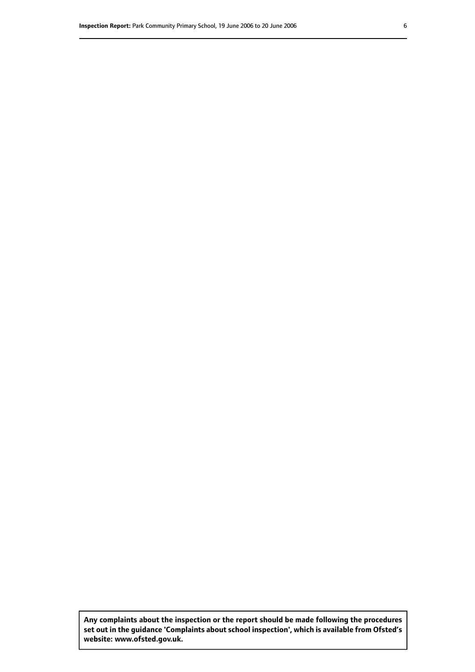**Any complaints about the inspection or the report should be made following the procedures set out inthe guidance 'Complaints about school inspection', whichis available from Ofsted's website: www.ofsted.gov.uk.**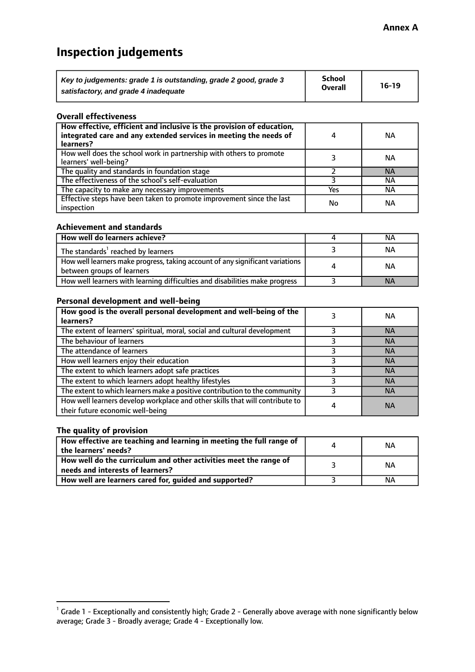# **Inspection judgements**

| Key to judgements: grade 1 is outstanding, grade 2 good, grade 3 | <b>School</b>  | $16-19$ |
|------------------------------------------------------------------|----------------|---------|
| satisfactory, and grade 4 inadequate                             | <b>Overall</b> |         |

#### **Overall effectiveness**

| How effective, efficient and inclusive is the provision of education,<br>integrated care and any extended services in meeting the needs of<br>learners? | 4   | <b>NA</b> |
|---------------------------------------------------------------------------------------------------------------------------------------------------------|-----|-----------|
| How well does the school work in partnership with others to promote<br>learners' well-being?                                                            |     | ΝA        |
| The quality and standards in foundation stage                                                                                                           |     | <b>NA</b> |
| The effectiveness of the school's self-evaluation                                                                                                       |     | ΝA        |
| The capacity to make any necessary improvements                                                                                                         | Yes | ΝA        |
| Effective steps have been taken to promote improvement since the last<br>inspection                                                                     | No  | ΝA        |

#### **Achievement and standards**

| How well do learners achieve?                                                                               | NА        |
|-------------------------------------------------------------------------------------------------------------|-----------|
| The standards <sup>1</sup> reached by learners                                                              | NА        |
| How well learners make progress, taking account of any significant variations<br>between groups of learners | <b>NA</b> |
| How well learners with learning difficulties and disabilities make progress                                 | <b>NA</b> |

### **Personal development and well-being**

| How good is the overall personal development and well-being of the<br>learners?                                  |   | ΝA        |
|------------------------------------------------------------------------------------------------------------------|---|-----------|
| The extent of learners' spiritual, moral, social and cultural development                                        |   | <b>NA</b> |
| The behaviour of learners                                                                                        |   | <b>NA</b> |
| The attendance of learners                                                                                       |   | <b>NA</b> |
| How well learners enjoy their education                                                                          |   | <b>NA</b> |
| The extent to which learners adopt safe practices                                                                |   | <b>NA</b> |
| The extent to which learners adopt healthy lifestyles                                                            |   | <b>NA</b> |
| The extent to which learners make a positive contribution to the community                                       |   | <b>NA</b> |
| How well learners develop workplace and other skills that will contribute to<br>their future economic well-being | 4 | <b>NA</b> |

# **The quality of provision**

| How effective are teaching and learning in meeting the full range of<br>the learners' needs?          | ΝA |
|-------------------------------------------------------------------------------------------------------|----|
| How well do the curriculum and other activities meet the range of<br>needs and interests of learners? | ΝA |
| How well are learners cared for, guided and supported?                                                | NА |

 $^1$  Grade 1 - Exceptionally and consistently high; Grade 2 - Generally above average with none significantly below average; Grade 3 - Broadly average; Grade 4 - Exceptionally low.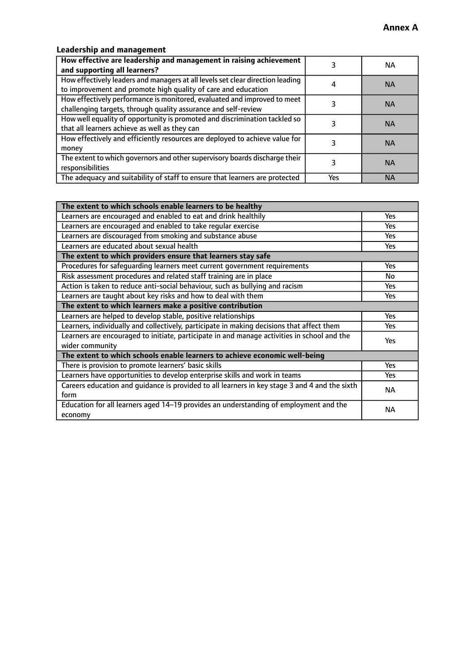# **Leadership and management**

| How effective are leadership and management in raising achievement<br>and supporting all learners?                                              |     | NA.       |
|-------------------------------------------------------------------------------------------------------------------------------------------------|-----|-----------|
| How effectively leaders and managers at all levels set clear direction leading<br>to improvement and promote high quality of care and education |     | <b>NA</b> |
| How effectively performance is monitored, evaluated and improved to meet<br>challenging targets, through quality assurance and self-review      |     | <b>NA</b> |
| How well equality of opportunity is promoted and discrimination tackled so<br>that all learners achieve as well as they can                     |     | <b>NA</b> |
| How effectively and efficiently resources are deployed to achieve value for<br>money                                                            |     | <b>NA</b> |
| The extent to which governors and other supervisory boards discharge their<br>responsibilities                                                  |     | <b>NA</b> |
| The adequacy and suitability of staff to ensure that learners are protected                                                                     | Yes | <b>NA</b> |

| The extent to which schools enable learners to be healthy                                     |            |
|-----------------------------------------------------------------------------------------------|------------|
| Learners are encouraged and enabled to eat and drink healthily                                | Yes        |
| Learners are encouraged and enabled to take regular exercise                                  | <b>Yes</b> |
| Learners are discouraged from smoking and substance abuse                                     | Yes        |
| Learners are educated about sexual health                                                     | Yes        |
| The extent to which providers ensure that learners stay safe                                  |            |
| Procedures for safequarding learners meet current government requirements                     | Yes        |
| Risk assessment procedures and related staff training are in place                            | No         |
| Action is taken to reduce anti-social behaviour, such as bullying and racism                  | <b>Yes</b> |
| Learners are taught about key risks and how to deal with them                                 | Yes        |
| The extent to which learners make a positive contribution                                     |            |
| Learners are helped to develop stable, positive relationships                                 | Yes        |
| Learners, individually and collectively, participate in making decisions that affect them     | Yes        |
| Learners are encouraged to initiate, participate in and manage activities in school and the   | <b>Yes</b> |
| wider community                                                                               |            |
| The extent to which schools enable learners to achieve economic well-being                    |            |
| There is provision to promote learners' basic skills                                          | Yes        |
| Learners have opportunities to develop enterprise skills and work in teams                    | Yes        |
| Careers education and guidance is provided to all learners in key stage 3 and 4 and the sixth | <b>NA</b>  |
| form                                                                                          |            |
| Education for all learners aged 14-19 provides an understanding of employment and the         | NА         |
| economy                                                                                       |            |